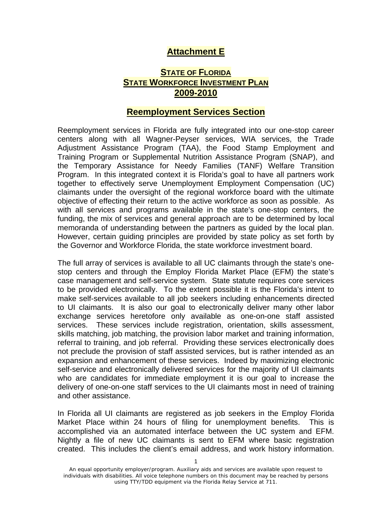## **Attachment E**

## **STATE OF FLORIDA STATE WORKFORCE INVESTMENT PLAN 2009-2010**

## **Reemployment Services Section**

Reemployment services in Florida are fully integrated into our one-stop career centers along with all Wagner-Peyser services, WIA services, the Trade Adjustment Assistance Program (TAA), the Food Stamp Employment and Training Program or Supplemental Nutrition Assistance Program (SNAP), and the Temporary Assistance for Needy Families (TANF) Welfare Transition Program. In this integrated context it is Florida's goal to have all partners work together to effectively serve Unemployment Employment Compensation (UC) claimants under the oversight of the regional workforce board with the ultimate objective of effecting their return to the active workforce as soon as possible. As with all services and programs available in the state's one-stop centers, the funding, the mix of services and general approach are to be determined by local memoranda of understanding between the partners as guided by the local plan. However, certain guiding principles are provided by state policy as set forth by the Governor and Workforce Florida, the state workforce investment board.

The full array of services is available to all UC claimants through the state's onestop centers and through the Employ Florida Market Place (EFM) the state's case management and self-service system. State statute requires core services to be provided electronically. To the extent possible it is the Florida's intent to make self-services available to all job seekers including enhancements directed to UI claimants. It is also our goal to electronically deliver many other labor exchange services heretofore only available as one-on-one staff assisted services. These services include registration, orientation, skills assessment, skills matching, job matching, the provision labor market and training information, referral to training, and job referral. Providing these services electronically does not preclude the provision of staff assisted services, but is rather intended as an expansion and enhancement of these services. Indeed by maximizing electronic self-service and electronically delivered services for the majority of UI claimants who are candidates for immediate employment it is our goal to increase the delivery of one-on-one staff services to the UI claimants most in need of training and other assistance.

In Florida all UI claimants are registered as job seekers in the Employ Florida Market Place within 24 hours of filing for unemployment benefits. This is accomplished via an automated interface between the UC system and EFM. Nightly a file of new UC claimants is sent to EFM where basic registration created. This includes the client's email address, and work history information.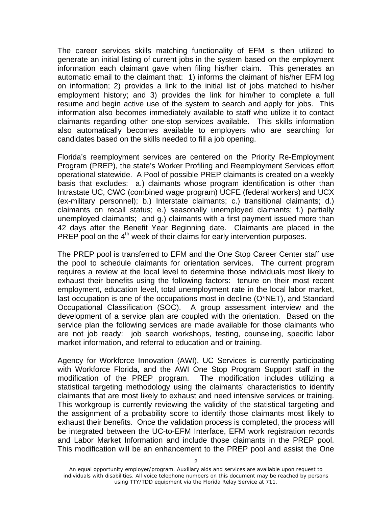The career services skills matching functionality of EFM is then utilized to generate an initial listing of current jobs in the system based on the employment information each claimant gave when filing his/her claim. This generates an automatic email to the claimant that: 1) informs the claimant of his/her EFM log on information; 2) provides a link to the initial list of jobs matched to his/her employment history; and 3) provides the link for him/her to complete a full resume and begin active use of the system to search and apply for jobs. This information also becomes immediately available to staff who utilize it to contact claimants regarding other one-stop services available. This skills information also automatically becomes available to employers who are searching for candidates based on the skills needed to fill a job opening.

Florida's reemployment services are centered on the Priority Re-Employment Program (PREP), the state's Worker Profiling and Reemployment Services effort operational statewide. A Pool of possible PREP claimants is created on a weekly basis that excludes: a.) claimants whose program identification is other than Intrastate UC, CWC (combined wage program) UCFE (federal workers) and UCX (ex-military personnel); b.) Interstate claimants; c.) transitional claimants; d.) claimants on recall status; e.) seasonally unemployed claimants; f.) partially unemployed claimants; and g.) claimants with a first payment issued more than 42 days after the Benefit Year Beginning date. Claimants are placed in the PREP pool on the  $4<sup>th</sup>$  week of their claims for early intervention purposes.

The PREP pool is transferred to EFM and the One Stop Career Center staff use the pool to schedule claimants for orientation services. The current program requires a review at the local level to determine those individuals most likely to exhaust their benefits using the following factors: tenure on their most recent employment, education level, total unemployment rate in the local labor market, last occupation is one of the occupations most in decline (O\*NET), and Standard Occupational Classification (SOC). A group assessment interview and the development of a service plan are coupled with the orientation. Based on the service plan the following services are made available for those claimants who are not job ready: job search workshops, testing, counseling, specific labor market information, and referral to education and or training.

Agency for Workforce Innovation (AWI), UC Services is currently participating with Workforce Florida, and the AWI One Stop Program Support staff in the modification of the PREP program. The modification includes utilizing a statistical targeting methodology using the claimants' characteristics to identify claimants that are most likely to exhaust and need intensive services or training. This workgroup is currently reviewing the validity of the statistical targeting and the assignment of a probability score to identify those claimants most likely to exhaust their benefits. Once the validation process is completed, the process will be integrated between the UC-to-EFM Interface, EFM work registration records and Labor Market Information and include those claimants in the PREP pool. This modification will be an enhancement to the PREP pool and assist the One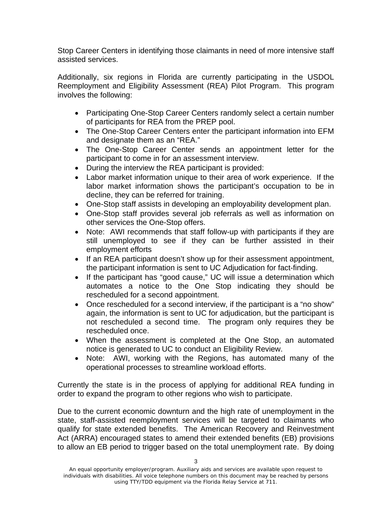Stop Career Centers in identifying those claimants in need of more intensive staff assisted services.

Additionally, six regions in Florida are currently participating in the USDOL Reemployment and Eligibility Assessment (REA) Pilot Program. This program involves the following:

- Participating One-Stop Career Centers randomly select a certain number of participants for REA from the PREP pool.
- The One-Stop Career Centers enter the participant information into EFM and designate them as an "REA."
- The One-Stop Career Center sends an appointment letter for the participant to come in for an assessment interview.
- During the interview the REA participant is provided:
- Labor market information unique to their area of work experience. If the labor market information shows the participant's occupation to be in decline, they can be referred for training.
- One-Stop staff assists in developing an employability development plan.
- One-Stop staff provides several job referrals as well as information on other services the One-Stop offers.
- Note: AWI recommends that staff follow-up with participants if they are still unemployed to see if they can be further assisted in their employment efforts
- If an REA participant doesn't show up for their assessment appointment, the participant information is sent to UC Adjudication for fact-finding.
- If the participant has "good cause," UC will issue a determination which automates a notice to the One Stop indicating they should be rescheduled for a second appointment.
- Once rescheduled for a second interview, if the participant is a "no show" again, the information is sent to UC for adjudication, but the participant is not rescheduled a second time. The program only requires they be rescheduled once.
- When the assessment is completed at the One Stop, an automated notice is generated to UC to conduct an Eligibility Review.
- Note: AWI, working with the Regions, has automated many of the operational processes to streamline workload efforts.

Currently the state is in the process of applying for additional REA funding in order to expand the program to other regions who wish to participate.

Due to the current economic downturn and the high rate of unemployment in the state, staff-assisted reemployment services will be targeted to claimants who qualify for state extended benefits. The American Recovery and Reinvestment Act (ARRA) encouraged states to amend their extended benefits (EB) provisions to allow an EB period to trigger based on the total unemployment rate. By doing